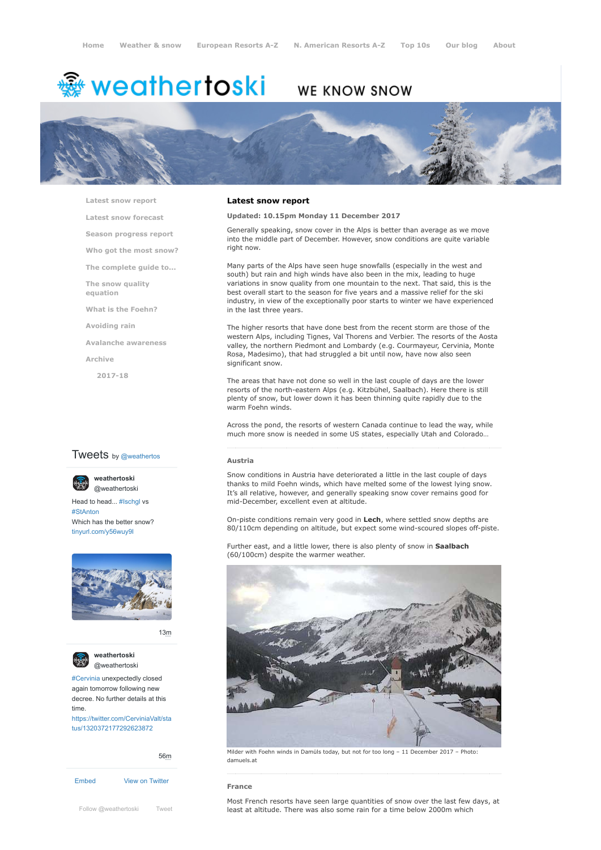# <del>▒</del> weathertoski

# WE KNOW SNOW



**[Latest snow report](https://www.weathertoski.co.uk/weather-snow/latest-snow-report/)**

**[Latest snow forecast](https://www.weathertoski.co.uk/weather-snow/latest-snow-forecast/)**

**[Season progress report](https://www.weathertoski.co.uk/weather-snow/season-progress-report/)**

**[Who got the most snow?](https://www.weathertoski.co.uk/weather-snow/who-got-the-most-snow/)**

**[The complete guide to...](https://www.weathertoski.co.uk/weather-snow/the-complete-guide-to/)**

**[The snow quality](https://www.weathertoski.co.uk/weather-snow/the-snow-quality-equation/)**

**[What is the Foehn?](https://www.weathertoski.co.uk/weather-snow/what-is-the-foehn/)**

**[Avoiding rain](https://www.weathertoski.co.uk/weather-snow/avoiding-rain/)**

**[Avalanche awareness](https://www.weathertoski.co.uk/weather-snow/avalanche-awareness/)**

**[Archive](https://www.weathertoski.co.uk/weather-snow/archive/)**

**equation**

**[2017-18](https://www.weathertoski.co.uk/weather-snow/archive/2017-18/)**

# **Tweets** by @weathertos



Head to head... [#Ischgl](https://twitter.com/hashtag/Ischgl?src=hash) vs [#StAnton](https://twitter.com/hashtag/StAnton?src=hash) [@weathertoski](https://twitter.com/weathertoski)

**weathertoski**

Which has the better snow? [tinyurl.com/y56wuy9l](https://t.co/AeKkyB0N9S)



[13m](https://twitter.com/weathertoski/status/1320387692862050304)



**weathertoski** [@weathertoski](https://twitter.com/weathertoski)

[#Cervinia](https://twitter.com/hashtag/Cervinia?src=hash) unexpectedly closed again tomorrow following new decree. No further details at this time. [https://twitter.com/CerviniaValt/sta](https://twitter.com/CerviniaValt/status/1320372177292623872)

tus/1320372177292623872

[Embed](https://publish.twitter.com/?url=https%3A%2F%2Ftwitter.com%2Fweathertoski) [View on Twitter](https://twitter.com/weathertoski) [56m](https://twitter.com/weathertoski/status/1320376647305093126)

# **Latest snow report**

# **Updated: 10.15pm Monday 11 December 2017**

Generally speaking, snow cover in the Alps is better than average as we move into the middle part of December. However, snow conditions are quite variable right now.

Many parts of the Alps have seen huge snowfalls (especially in the west and south) but rain and high winds have also been in the mix, leading to huge variations in snow quality from one mountain to the next. That said, this is the best overall start to the season for five years and a massive relief for the ski industry, in view of the exceptionally poor starts to winter we have experienced in the last three years.

The higher resorts that have done best from the recent storm are those of the western Alps, including Tignes, Val Thorens and Verbier. The resorts of the Aosta valley, the northern Piedmont and Lombardy (e.g. Courmayeur, Cervinia, Monte Rosa, Madesimo), that had struggled a bit until now, have now also seen significant snow.

The areas that have not done so well in the last couple of days are the lower resorts of the north-eastern Alps (e.g. Kitzbühel, Saalbach). Here there is still plenty of snow, but lower down it has been thinning quite rapidly due to the warm Foehn winds.

Across the pond, the resorts of western Canada continue to lead the way, while much more snow is needed in some US states, especially Utah and Colorado…

### **Austria**

Snow conditions in Austria have deteriorated a little in the last couple of days thanks to mild Foehn winds, which have melted some of the lowest lying snow. It's all relative, however, and generally speaking snow cover remains good for mid-December, excellent even at altitude.

On-piste conditions remain very good in **Lech**, where settled snow depths are 80/110cm depending on altitude, but expect some wind-scoured slopes off-piste.

Further east, and a little lower, there is also plenty of snow in **Saalbach** (60/100cm) despite the warmer weather.



Milder with Foehn winds in Damüls today, but not for too long – 11 December 2017 – Photo: damuels.at

#### **France**

Most French resorts have seen large quantities of snow over the last few days, at [Follow @weathertoski](https://twitter.com/intent/follow?original_referer=https%3A%2F%2Fwww.weathertoski.co.uk%2F&ref_src=twsrc%5Etfw®ion=follow_link&screen_name=weathertoski&tw_p=followbutton) [Tweet](https://twitter.com/intent/tweet?original_referer=https%3A%2F%2Fwww.weathertoski.co.uk%2F&ref_src=twsrc%5Etfw&text=Weather%20to%20ski%20-%20Snow%20report%20-%2011%20December%202017&tw_p=tweetbutton&url=https%3A%2F%2Fwww.weathertoski.co.uk%2Fweather-snow%2Farchive%2Fsnow-report-11-december-2017%2F) **least at altitude. There was also some rain for a time below 2000m which**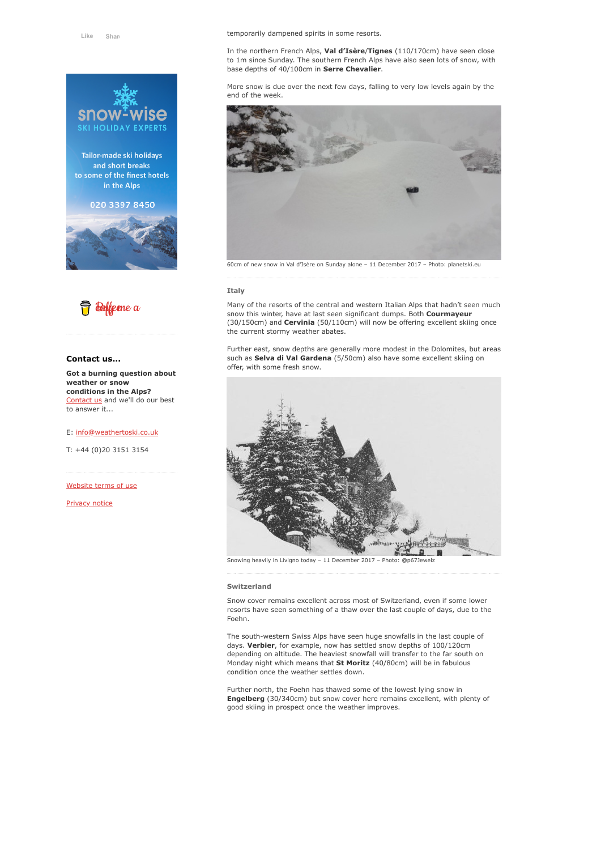

Tailor-made ski holidays and short breaks to some of the finest hotels in the Alps

# 020 3397 8450





# **Contact us...**

**Got a burning question about weather or snow conditions in the Alps?** [Contact us](https://www.weathertoski.co.uk/about-1/contact-us/) and we'll do our best to answer it...

# E: [info@weathertoski.co.uk](mailto:fraser@weathertoski.co.uk)

T: +44 (0)20 3151 3154

[Website terms of use](https://www.weathertoski.co.uk/about-1/website-terms-of-use/)

[Privacy notice](https://www.weathertoski.co.uk/about-1/privacy-notice/)

In the northern French Alps, **Val d'Isère**/**Tignes** (110/170cm) have seen close to 1m since Sunday. The southern French Alps have also seen lots of snow, with base depths of 40/100cm in **Serre Chevalier**.

More snow is due over the next few days, falling to very low levels again by the end of the week.



## **Italy**

Many of the resorts of the central and western Italian Alps that hadn't seen much snow this winter, have at last seen significant dumps. Both **Courmayeur** (30/150cm) and **Cervinia** (50/110cm) will now be offering excellent skiing once the current stormy weather abates.

Further east, snow depths are generally more modest in the Dolomites, but areas such as **Selva di Val Gardena** (5/50cm) also have some excellent skiing on offer, with some fresh snow.



Snowing heavily in Livigno today - 11 December 2017 - Photo: @p67J

#### **Switzerland**

Snow cover remains excellent across most of Switzerland, even if some lower resorts have seen something of a thaw over the last couple of days, due to the Foehn.

The south-western Swiss Alps have seen huge snowfalls in the last couple of days. **Verbier**, for example, now has settled snow depths of 100/120cm depending on altitude. The heaviest snowfall will transfer to the far south on Monday night which means that **St Moritz** (40/80cm) will be in fabulous condition once the weather settles down.

Further north, the Foehn has thawed some of the lowest lying snow in **Engelberg** (30/340cm) but snow cover here remains excellent, with plenty of good skiing in prospect once the weather improves.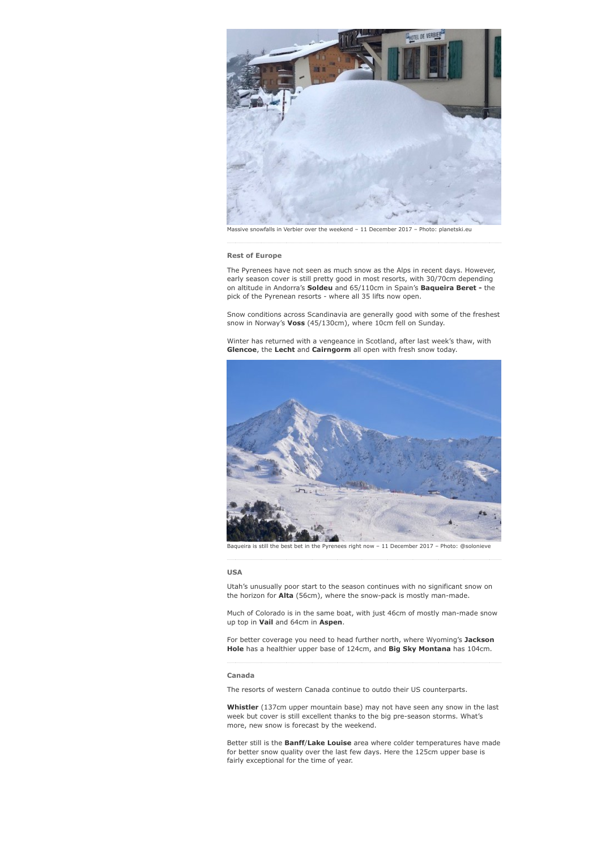

snowfalls in Verbier over the weekend - 11 December 2017 - Photo: planetski.eu

#### **Rest of Europe**

The Pyrenees have not seen as much snow as the Alps in recent days. However, early season cover is still pretty good in most resorts, with 30/70cm depending on altitude in Andorra's **Soldeu** and 65/110cm in Spain's **Baqueira Beret -** the pick of the Pyrenean resorts - where all 35 lifts now open.

Snow conditions across Scandinavia are generally good with some of the freshest snow in Norway's **Voss** (45/130cm), where 10cm fell on Sunday.

Winter has returned with a vengeance in Scotland, after last week's thaw, with **Glencoe**, the **Lecht** and **Cairngorm** all open with fresh snow today.



Baqueira is still the best bet in the Pyrenees right now – 11 December 2017 – Photo: @solonieve

#### **USA**

Utah's unusually poor start to the season continues with no significant snow on the horizon for **Alta** (56cm), where the snow-pack is mostly man-made.

Much of Colorado is in the same boat, with just 46cm of mostly man-made snow up top in **Vail** and 64cm in **Aspen**.

For better coverage you need to head further north, where Wyoming's **Jackson Hole** has a healthier upper base of 124cm, and **Big Sky Montana** has 104cm.

### **Canada**

The resorts of western Canada continue to outdo their US counterparts.

**Whistler** (137cm upper mountain base) may not have seen any snow in the last week but cover is still excellent thanks to the big pre-season storms. What's more, new snow is forecast by the weekend.

Better still is the **Banff**/**Lake Louise** area where colder temperatures have made for better snow quality over the last few days. Here the 125cm upper base is fairly exceptional for the time of year.